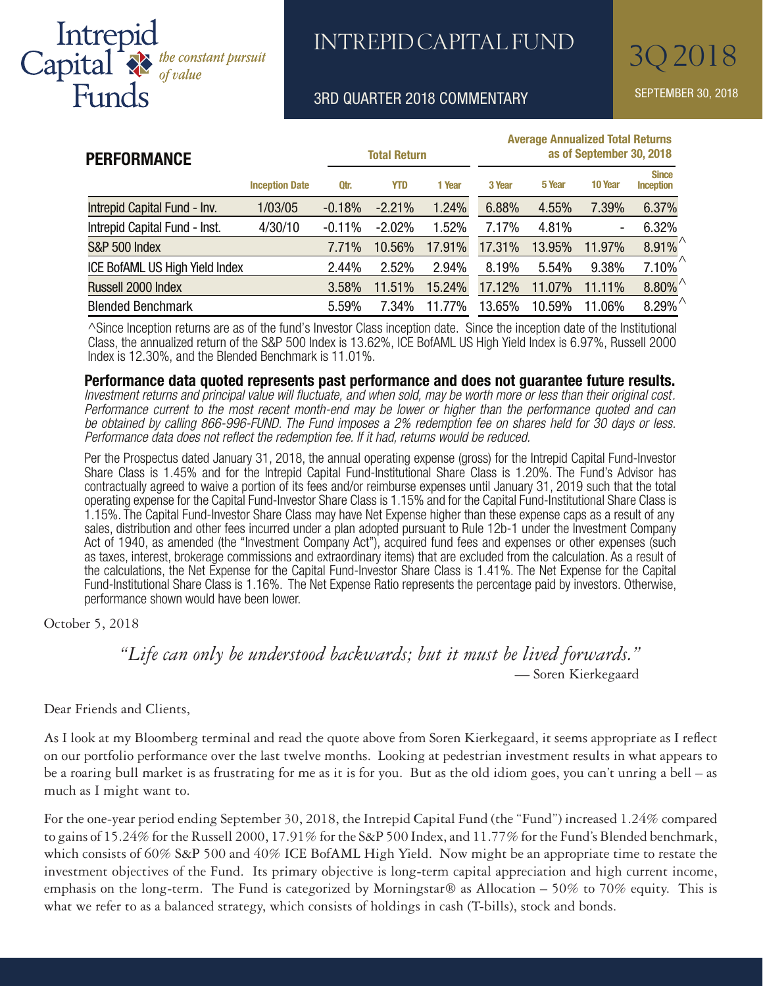

# INTREPID CAPITAL FUND 30 2018

### 3RD QUARTER 2018 COMMENTARY SEPTEMBER 30, 2018

| <b>PERFORMANCE</b>                    | <b>Total Return</b>   |          |            | <b>Average Annualized Total Returns</b><br>as of September 30, 2018 |        |        |         |                                         |
|---------------------------------------|-----------------------|----------|------------|---------------------------------------------------------------------|--------|--------|---------|-----------------------------------------|
|                                       | <b>Inception Date</b> | Qtr.     | <b>YTD</b> | 1 Year                                                              | 3 Year | 5 Year | 10 Year | <b>Since</b><br><b>Inception</b>        |
| Intrepid Capital Fund - Inv.          | 1/03/05               | $-0.18%$ | $-2.21%$   | 1.24%                                                               | 6.88%  | 4.55%  | 7.39%   | 6.37%                                   |
| Intrepid Capital Fund - Inst.         | 4/30/10               | $-0.11%$ | $-2.02%$   | 1.52%                                                               | 7.17%  | 4.81%  | ۰       | 6.32%                                   |
| <b>S&amp;P 500 Index</b>              |                       | 7.71%    | 10.56%     | 17.91%                                                              | 17.31% | 13.95% | 11.97%  | $8.91\%$                                |
| <b>ICE BofAML US High Yield Index</b> |                       | 2.44%    | 2.52%      | 2.94%                                                               | 8.19%  | 5.54%  | 9.38%   | 7.10%                                   |
| Russell 2000 Index                    |                       | 3.58%    | 11.51%     | 15.24%                                                              | 17.12% | 11.07% | 11.11%  | $8.80\%$ <sup><math>\wedge</math></sup> |
| <b>Blended Benchmark</b>              |                       | 5.59%    | 7.34%      | 11.77%                                                              | 13.65% | 10.59% | 11.06%  | $8.29\%$ <sup><math>\land</math></sup>  |

^Since Inception returns are as of the fund's Investor Class inception date. Since the inception date of the Institutional Class, the annualized return of the S&P 500 Index is 13.62%, ICE BofAML US High Yield Index is 6.97%, Russell 2000 Index is 12.30%, and the Blended Benchmark is 11.01%.

#### **Performance data quoted represents past performance and does not guarantee future results.**

*Investment returns and principal value will fluctuate, and when sold, may be worth more or less than their original cost. Performance current to the most recent month-end may be lower or higher than the performance quoted and can be obtained by calling 866-996-FUND. The Fund imposes a 2% redemption fee on shares held for 30 days or less. Performance data does not reflect the redemption fee. If it had, returns would be reduced.*

Per the Prospectus dated January 31, 2018, the annual operating expense (gross) for the Intrepid Capital Fund-Investor Share Class is 1.45% and for the Intrepid Capital Fund-Institutional Share Class is 1.20%. The Fund's Advisor has contractually agreed to waive a portion of its fees and/or reimburse expenses until January 31, 2019 such that the total operating expense for the Capital Fund-Investor Share Class is 1.15% and for the Capital Fund-Institutional Share Class is 1.15%. The Capital Fund-Investor Share Class may have Net Expense higher than these expense caps as a result of any sales, distribution and other fees incurred under a plan adopted pursuant to Rule 12b-1 under the Investment Company Act of 1940, as amended (the "Investment Company Act"), acquired fund fees and expenses or other expenses (such as taxes, interest, brokerage commissions and extraordinary items) that are excluded from the calculation. As a result of the calculations, the Net Expense for the Capital Fund-Investor Share Class is 1.41%. The Net Expense for the Capital Fund-Institutional Share Class is 1.16%. The Net Expense Ratio represents the percentage paid by investors. Otherwise, performance shown would have been lower.

October 5, 2018

*"Life can only be understood backwards; but it must be lived forwards."*— Soren Kierkegaard

Dear Friends and Clients,

As I look at my Bloomberg terminal and read the quote above from Soren Kierkegaard, it seems appropriate as I reflect on our portfolio performance over the last twelve months. Looking at pedestrian investment results in what appears to be a roaring bull market is as frustrating for me as it is for you. But as the old idiom goes, you can't unring a bell – as much as I might want to.

For the one-year period ending September 30, 2018, the Intrepid Capital Fund (the "Fund") increased 1.24% compared to gains of 15.24% for the Russell 2000, 17.91% for the S&P 500 Index, and 11.77% for the Fund's Blended benchmark, which consists of 60% S&P 500 and 40% ICE BofAML High Yield. Now might be an appropriate time to restate the investment objectives of the Fund. Its primary objective is long-term capital appreciation and high current income, emphasis on the long-term. The Fund is categorized by Morningstar® as Allocation – 50% to 70% equity. This is what we refer to as a balanced strategy, which consists of holdings in cash (T-bills), stock and bonds.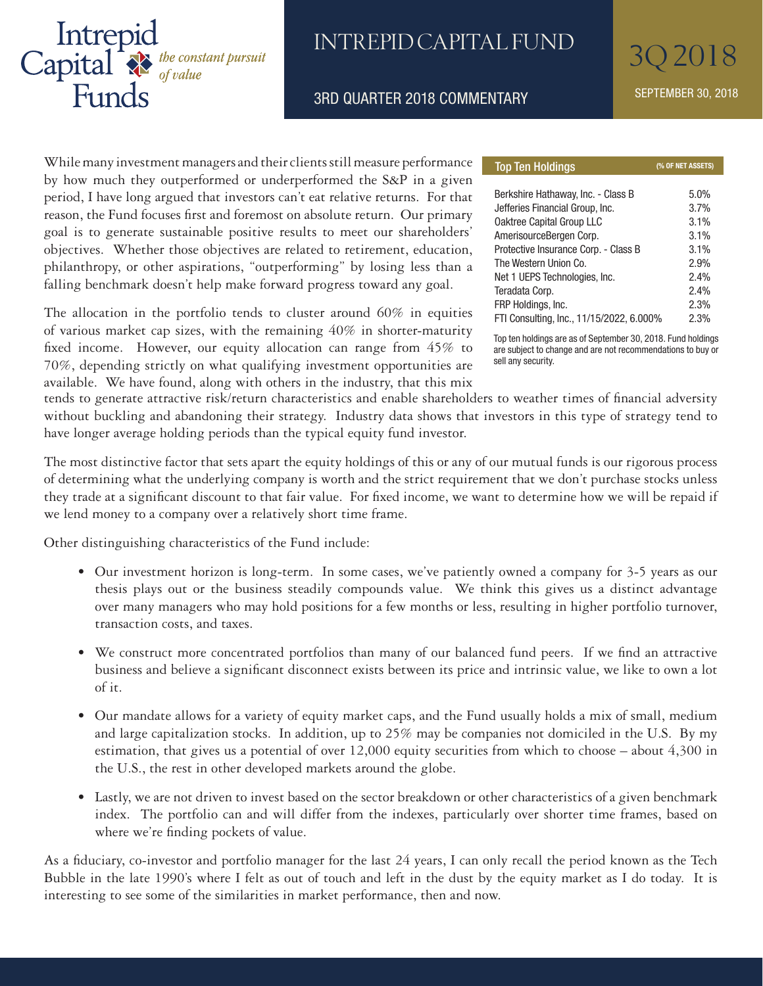

### INTREPID CAPITAL FUND

3RD QUARTER 2018 COMMENTARY SEPTEMBER 30, 2018

While many investment managers and their clients still measure performance by how much they outperformed or underperformed the S&P in a given period, I have long argued that investors can't eat relative returns. For that reason, the Fund focuses first and foremost on absolute return. Our primary goal is to generate sustainable positive results to meet our shareholders' objectives. Whether those objectives are related to retirement, education, philanthropy, or other aspirations, "outperforming" by losing less than a falling benchmark doesn't help make forward progress toward any goal.

The allocation in the portfolio tends to cluster around 60% in equities of various market cap sizes, with the remaining 40% in shorter-maturity fixed income. However, our equity allocation can range from 45% to 70%, depending strictly on what qualifying investment opportunities are available. We have found, along with others in the industry, that this mix

| <b>Top Ten Holdings</b>                  | (% OF NET ASSETS) |  |  |
|------------------------------------------|-------------------|--|--|
|                                          |                   |  |  |
| Berkshire Hathaway, Inc. - Class B       | 5.0%              |  |  |
| Jefferies Financial Group, Inc.          | 3.7%              |  |  |
| Oaktree Capital Group LLC                | 3.1%              |  |  |
| AmerisourceBergen Corp.                  | 3.1%              |  |  |
| Protective Insurance Corp. - Class B     | 3.1%              |  |  |
| The Western Union Co.                    | 2.9%              |  |  |
| Net 1 UEPS Technologies, Inc.            | 2.4%              |  |  |
| Teradata Corp.                           | 2.4%              |  |  |
| FRP Holdings, Inc.                       | 2.3%              |  |  |
| FTI Consulting, Inc., 11/15/2022, 6.000% | 2.3%              |  |  |

Top ten holdings are as of September 30, 2018. Fund holdings are subject to change and are not recommendations to buy or sell any security.

tends to generate attractive risk/return characteristics and enable shareholders to weather times of financial adversity without buckling and abandoning their strategy. Industry data shows that investors in this type of strategy tend to have longer average holding periods than the typical equity fund investor.

The most distinctive factor that sets apart the equity holdings of this or any of our mutual funds is our rigorous process of determining what the underlying company is worth and the strict requirement that we don't purchase stocks unless they trade at a significant discount to that fair value. For fixed income, we want to determine how we will be repaid if we lend money to a company over a relatively short time frame.

Other distinguishing characteristics of the Fund include:

- Our investment horizon is long-term. In some cases, we've patiently owned a company for 3-5 years as our thesis plays out or the business steadily compounds value. We think this gives us a distinct advantage over many managers who may hold positions for a few months or less, resulting in higher portfolio turnover, transaction costs, and taxes.
- We construct more concentrated portfolios than many of our balanced fund peers. If we find an attractive business and believe a significant disconnect exists between its price and intrinsic value, we like to own a lot of it.
- Our mandate allows for a variety of equity market caps, and the Fund usually holds a mix of small, medium and large capitalization stocks. In addition, up to 25% may be companies not domiciled in the U.S. By my estimation, that gives us a potential of over 12,000 equity securities from which to choose – about 4,300 in the U.S., the rest in other developed markets around the globe.
- Lastly, we are not driven to invest based on the sector breakdown or other characteristics of a given benchmark index. The portfolio can and will differ from the indexes, particularly over shorter time frames, based on where we're finding pockets of value.

As a fiduciary, co-investor and portfolio manager for the last 24 years, I can only recall the period known as the Tech Bubble in the late 1990's where I felt as out of touch and left in the dust by the equity market as I do today. It is interesting to see some of the similarities in market performance, then and now.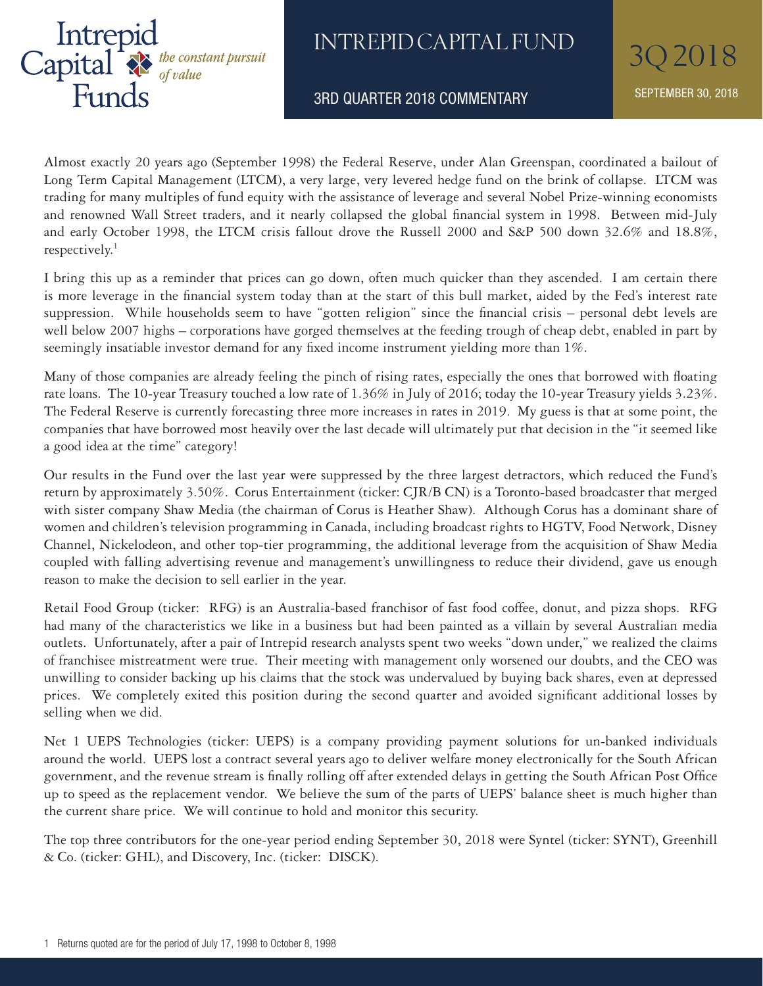

## INTREPID CAPITAL FUND 30 2018

3RD QUARTER 2018 COMMENTARY SEPTEMBER 30, 2018

Almost exactly 20 years ago (September 1998) the Federal Reserve, under Alan Greenspan, coordinated a bailout of Long Term Capital Management (LTCM), a very large, very levered hedge fund on the brink of collapse. LTCM was trading for many multiples of fund equity with the assistance of leverage and several Nobel Prize-winning economists and renowned Wall Street traders, and it nearly collapsed the global financial system in 1998. Between mid-July and early October 1998, the LTCM crisis fallout drove the Russell 2000 and S&P 500 down 32.6% and 18.8%, respectively.<sup>1</sup>

I bring this up as a reminder that prices can go down, often much quicker than they ascended. I am certain there is more leverage in the financial system today than at the start of this bull market, aided by the Fed's interest rate suppression. While households seem to have "gotten religion" since the financial crisis – personal debt levels are well below 2007 highs – corporations have gorged themselves at the feeding trough of cheap debt, enabled in part by seemingly insatiable investor demand for any fixed income instrument yielding more than 1%.

Many of those companies are already feeling the pinch of rising rates, especially the ones that borrowed with floating rate loans. The 10-year Treasury touched a low rate of 1.36% in July of 2016; today the 10-year Treasury yields 3.23%. The Federal Reserve is currently forecasting three more increases in rates in 2019. My guess is that at some point, the companies that have borrowed most heavily over the last decade will ultimately put that decision in the "it seemed like a good idea at the time" category!

Our results in the Fund over the last year were suppressed by the three largest detractors, which reduced the Fund's return by approximately 3.50%. Corus Entertainment (ticker: CJR/B CN) is a Toronto-based broadcaster that merged with sister company Shaw Media (the chairman of Corus is Heather Shaw). Although Corus has a dominant share of women and children's television programming in Canada, including broadcast rights to HGTV, Food Network, Disney Channel, Nickelodeon, and other top-tier programming, the additional leverage from the acquisition of Shaw Media coupled with falling advertising revenue and management's unwillingness to reduce their dividend, gave us enough reason to make the decision to sell earlier in the year.

Retail Food Group (ticker: RFG) is an Australia-based franchisor of fast food coffee, donut, and pizza shops. RFG had many of the characteristics we like in a business but had been painted as a villain by several Australian media outlets. Unfortunately, after a pair of Intrepid research analysts spent two weeks "down under," we realized the claims of franchisee mistreatment were true. Their meeting with management only worsened our doubts, and the CEO was unwilling to consider backing up his claims that the stock was undervalued by buying back shares, even at depressed prices. We completely exited this position during the second quarter and avoided significant additional losses by selling when we did.

Net 1 UEPS Technologies (ticker: UEPS) is a company providing payment solutions for un-banked individuals around the world. UEPS lost a contract several years ago to deliver welfare money electronically for the South African government, and the revenue stream is finally rolling off after extended delays in getting the South African Post Office up to speed as the replacement vendor. We believe the sum of the parts of UEPS' balance sheet is much higher than the current share price. We will continue to hold and monitor this security.

The top three contributors for the one-year period ending September 30, 2018 were Syntel (ticker: SYNT), Greenhill & Co. (ticker: GHL), and Discovery, Inc. (ticker: DISCK).